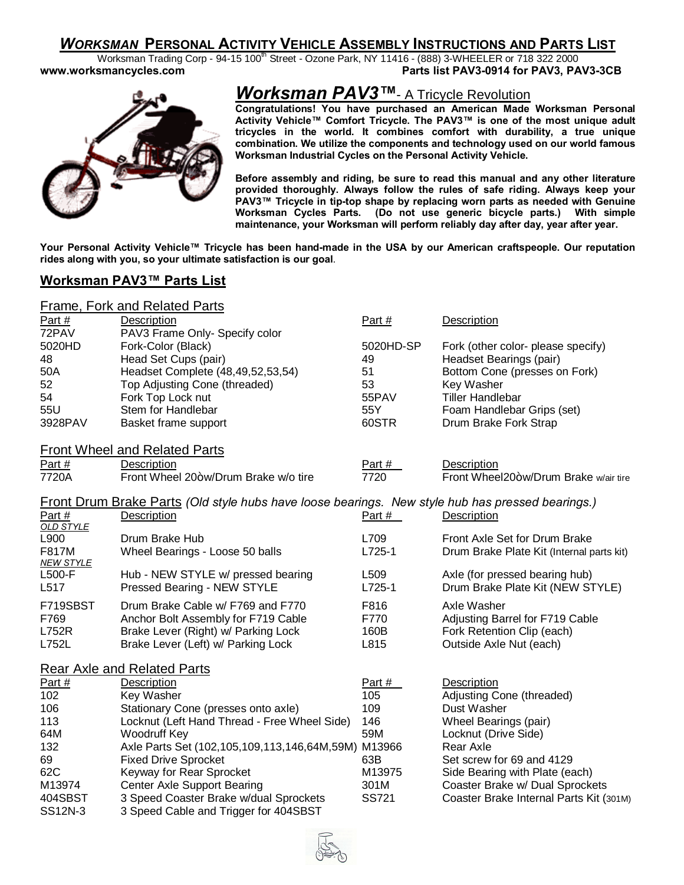## *WORKSMAN* **PERSONAL ACTIVITY VEHICLE ASSEMBLY INSTRUCTIONS AND PARTS LIST**

Worksman Trading Corp - 94-15 100<sup>th</sup> Street - Ozone Park, NY 11416 - (888) 3-WHEELER or 718 322 2000 **www.worksmancycles.com Parts list PAV3-0914 for PAV3, PAV3-3CB** 



# *Worksman PAV3™*- A Tricycle Revolution

**Congratulations! You have purchased an American Made Worksman Personal Activity Vehicle™ Comfort Tricycle. The PAV3™ is one of the most unique adult tricycles in the world. It combines comfort with durability, a true unique combination. We utilize the components and technology used on our world famous Worksman Industrial Cycles on the Personal Activity Vehicle.**

**Before assembly and riding, be sure to read this manual and any other literature provided thoroughly. Always follow the rules of safe riding. Always keep your PAV3™ Tricycle in tip-top shape by replacing worn parts as needed with Genuine Worksman Cycles Parts. (Do not use generic bicycle parts.) With simple maintenance, your Worksman will perform reliably day after day, year after year.**

**Your Personal Activity Vehicle™ Tricycle has been hand-made in the USA by our American craftspeople. Our reputation rides along with you, so your ultimate satisfaction is our goal**.

## **Worksman PAV3™ Parts List**

|--|

| Part $#$          | <b>Description</b>                                                                                      | Part #    | <b>Description</b>                        |  |
|-------------------|---------------------------------------------------------------------------------------------------------|-----------|-------------------------------------------|--|
| 72PAV             | PAV3 Frame Only- Specify color                                                                          |           |                                           |  |
| 5020HD            | Fork-Color (Black)                                                                                      | 5020HD-SP | Fork (other color- please specify)        |  |
| 48                | Head Set Cups (pair)                                                                                    | 49        | Headset Bearings (pair)                   |  |
| 50A               | Headset Complete (48,49,52,53,54)                                                                       | 51        | Bottom Cone (presses on Fork)             |  |
| 52                | Top Adjusting Cone (threaded)                                                                           | 53        | Key Washer                                |  |
| 54                | Fork Top Lock nut                                                                                       | 55PAV     | <b>Tiller Handlebar</b>                   |  |
| 55U               | Stem for Handlebar                                                                                      | 55Y       | Foam Handlebar Grips (set)                |  |
| 3928PAV           | Basket frame support                                                                                    | 60STR     | Drum Brake Fork Strap                     |  |
|                   | <b>Front Wheel and Related Parts</b>                                                                    |           |                                           |  |
| Part $#$          | Description                                                                                             | Part #    | Description                               |  |
| 7720A             | Front Wheel 20+w/Drum Brake w/o tire                                                                    | 7720      | Front Wheel20+w/Drum Brake w/air tire     |  |
|                   | <b>Front Drum Brake Parts (Old style hubs have loose bearings. New style hub has pressed bearings.)</b> |           |                                           |  |
| Part #            | <b>Description</b>                                                                                      | Part #    | <b>Description</b>                        |  |
| OLD STYLE<br>L900 | Drum Brake Hub                                                                                          | L709      | Front Axle Set for Drum Brake             |  |
| F817M             | Wheel Bearings - Loose 50 balls                                                                         | $L725-1$  | Drum Brake Plate Kit (Internal parts kit) |  |
| <b>NEW STYLE</b>  |                                                                                                         |           |                                           |  |
| L500-F            | Hub - NEW STYLE w/ pressed bearing                                                                      | L509      | Axle (for pressed bearing hub)            |  |
| L517              | Pressed Bearing - NEW STYLE                                                                             | $L725-1$  | Drum Brake Plate Kit (NEW STYLE)          |  |
| F719SBST          | Drum Brake Cable w/ F769 and F770                                                                       | F816      | Axle Washer                               |  |
| F769              | Anchor Bolt Assembly for F719 Cable                                                                     | F770      | Adjusting Barrel for F719 Cable           |  |
| L752R             | Brake Lever (Right) w/ Parking Lock                                                                     | 160B      | Fork Retention Clip (each)                |  |
| L752L             | Brake Lever (Left) w/ Parking Lock                                                                      | L815      | Outside Axle Nut (each)                   |  |
|                   | <b>Rear Axle and Related Parts</b>                                                                      |           |                                           |  |
| Part #            | Description                                                                                             | Part #    | Description                               |  |
| 102               | Key Washer                                                                                              | 105       | Adjusting Cone (threaded)                 |  |
| 106               | Stationary Cone (presses onto axle)                                                                     | 109       | Dust Washer                               |  |
| 113               | Locknut (Left Hand Thread - Free Wheel Side)                                                            | 146       | Wheel Bearings (pair)                     |  |
| 64M               | Woodruff Key                                                                                            | 59M       | Locknut (Drive Side)                      |  |
| 132               | Axle Parts Set (102,105,109,113,146,64M,59M) M13966                                                     |           | Rear Axle                                 |  |
| 69                | <b>Fixed Drive Sprocket</b>                                                                             | 63B       | Set screw for 69 and 4129                 |  |
| 62C               | Keyway for Rear Sprocket                                                                                | M13975    | Side Bearing with Plate (each)            |  |
| M13974            | <b>Center Axle Support Bearing</b>                                                                      | 301M      | Coaster Brake w/ Dual Sprockets           |  |
| 404SBST           | 3 Speed Coaster Brake w/dual Sprockets                                                                  | SS721     | Coaster Brake Internal Parts Kit (301M)   |  |

SS12N-3 3 Speed Cable and Trigger for 404SBST

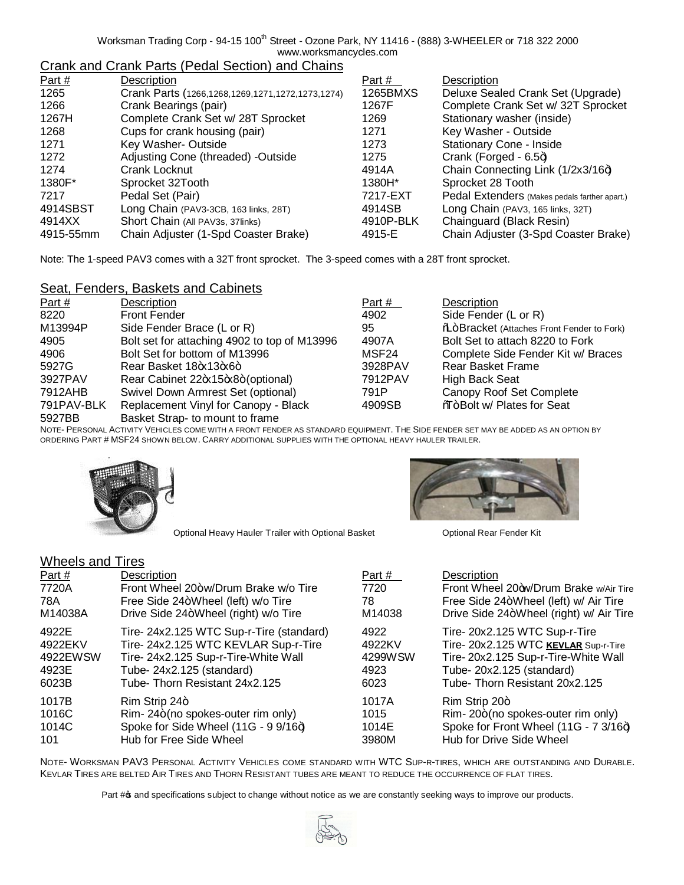Worksman Trading Corp - 94-15 100<sup>th</sup> Street - Ozone Park, NY 11416 - (888) 3-WHEELER or 718 322 2000 www.worksmancycles.com

# Crank and Crank Parts (Pedal Section) and Chains

| Part $#$  | Description                                      | Part #    | Description                                   |
|-----------|--------------------------------------------------|-----------|-----------------------------------------------|
| 1265      | Crank Parts (1266,1268,1269,1271,1272,1273,1274) | 1265BMXS  | Deluxe Sealed Crank Set (Upgrade)             |
| 1266      | Crank Bearings (pair)                            | 1267F     | Complete Crank Set w/ 32T Sprocket            |
| 1267H     | Complete Crank Set w/ 28T Sprocket               | 1269      | Stationary washer (inside)                    |
| 1268      | Cups for crank housing (pair)                    | 1271      | Key Washer - Outside                          |
| 1271      | Key Washer-Outside                               | 1273      | <b>Stationary Cone - Inside</b>               |
| 1272      | Adjusting Cone (threaded) -Outside               | 1275      | Crank (Forged - $6.5+$ )                      |
| 1274      | Crank Locknut                                    | 4914A     | Chain Connecting Link (1/2x3/16+)             |
| 1380F*    | Sprocket 32Tooth                                 | 1380H*    | Sprocket 28 Tooth                             |
| 7217      | Pedal Set (Pair)                                 | 7217-EXT  | Pedal Extenders (Makes pedals farther apart.) |
| 4914SBST  | Long Chain (PAV3-3CB, 163 links, 28T)            | 4914SB    | Long Chain (PAV3, 165 links, 32T)             |
| 4914XX    | Short Chain (All PAV3s, 37links)                 | 4910P-BLK | Chainguard (Black Resin)                      |
| 4915-55mm | Chain Adjuster (1-Spd Coaster Brake)             | 4915-E    | Chain Adjuster (3-Spd Coaster Brake)          |

Note: The 1-speed PAV3 comes with a 32T front sprocket. The 3-speed comes with a 28T front sprocket.

## Seat, Fenders, Baskets and Cabinets

| Part #     | Description                                  | Part #  | Description                                      |
|------------|----------------------------------------------|---------|--------------------------------------------------|
| 8220       | <b>Front Fender</b>                          | 4902    | Side Fender (L or R)                             |
| M13994P    | Side Fender Brace (L or R)                   | 95      | <b>%</b> Bracket (Attaches Front Fender to Fork) |
| 4905       | Bolt set for attaching 4902 to top of M13996 | 4907A   | Bolt Set to attach 8220 to Fork                  |
| 4906       | Bolt Set for bottom of M13996                | MSF24   | Complete Side Fender Kit w/ Braces               |
| 5927G      | Rear Basket 18+x13+x6+                       | 3928PAV | <b>Rear Basket Frame</b>                         |
| 3927PAV    | Rear Cabinet 22+x15+x8+(optional)            | 7912PAV | <b>High Back Seat</b>                            |
| 7912AHB    | Swivel Down Armrest Set (optional)           | 791P    | Canopy Roof Set Complete                         |
| 791PAV-BLK | Replacement Vinyl for Canopy - Black         | 4909SB  | %T <sub>o</sub> +Bolt w/ Plates for Seat         |
| 5927BB     | Basket Strap- to mount to frame              |         |                                                  |

NOTE- PERSONAL ACTIVITY VEHICLES COME WITH A FRONT FENDER AS STANDARD EQUIPMENT. THE SIDE FENDER SET MAY BE ADDED AS AN OPTION BY ORDERING PART # MSF24 SHOWN BELOW. CARRY ADDITIONAL SUPPLIES WITH THE OPTIONAL HEAVY HAULER TRAILER.



Optional Heavy Hauler Trailer with Optional Basket **Channel Continuing Continuing Continuing** Optional Rear Fender Kit



## Wheels and Tires

| Part $#$ | Description                              | Part #  | Description                             |
|----------|------------------------------------------|---------|-----------------------------------------|
| 7720A    | Front Wheel 20+w/Drum Brake w/o Tire     | 7720    | Front Wheel 20+w/Drum Brake w/Air Tire  |
| 78A      | Free Side 24+Wheel (left) w/o Tire       | 78      | Free Side 24+Wheel (left) w/ Air Tire   |
| M14038A  | Drive Side 24+Wheel (right) w/o Tire     | M14038  | Drive Side 24+Wheel (right) w/ Air Tire |
| 4922E    | Tire- 24x2.125 WTC Sup-r-Tire (standard) | 4922    | Tire- 20x2.125 WTC Sup-r-Tire           |
| 4922EKV  | Tire- 24x2.125 WTC KEVLAR Sup-r-Tire     | 4922KV  | Tire- 20x2.125 WTC KEVLAR Sup-r-Tire    |
| 4922EWSW | Tire- 24x2.125 Sup-r-Tire-White Wall     | 4299WSW | Tire-20x2.125 Sup-r-Tire-White Wall     |
| 4923E    | Tube-24x2.125 (standard)                 | 4923    | Tube-20x2.125 (standard)                |
| 6023B    | Tube-Thorn Resistant 24x2.125            | 6023    | Tube-Thorn Resistant 20x2.125           |
| 1017B    | $Rim$ Strip 24+                          | 1017A   | Rim Strip 20+                           |
| 1016C    | Rim-24+(no spokes-outer rim only)        | 1015    | Rim-20+(no spokes-outer rim only)       |
| 1014C    | Spoke for Side Wheel (11G - 9 9/16+)     | 1014E   | Spoke for Front Wheel (11G - 7 3/16+)   |
| 101      | Hub for Free Side Wheel                  | 3980M   | Hub for Drive Side Wheel                |

NOTE- WORKSMAN PAV3 PERSONAL ACTIVITY VEHICLES COME STANDARD WITH WTC SUP-R-TIRES, WHICH ARE OUTSTANDING AND DURABLE. KEVLAR TIRES ARE BELTED AIR TIRES AND THORN RESISTANT TUBES ARE MEANT TO REDUCE THE OCCURRENCE OF FLAT TIRES.

Part # $\frac{1}{4}$  and specifications subject to change without notice as we are constantly seeking ways to improve our products.

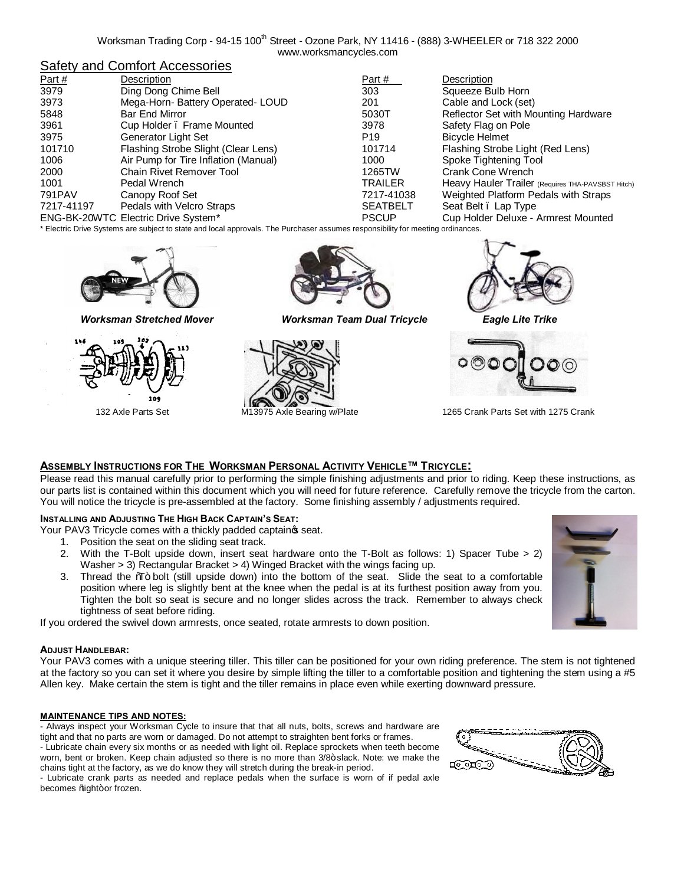### Safety and Comfort Accessories

| Part $#$   | Description                          | Part #          | Description                                       |
|------------|--------------------------------------|-----------------|---------------------------------------------------|
| 3979       | Ding Dong Chime Bell                 | 303             | Squeeze Bulb Horn                                 |
| 3973       | Mega-Horn- Battery Operated- LOUD    | 201             | Cable and Lock (set)                              |
| 5848       | <b>Bar End Mirror</b>                | 5030T           | Reflector Set with Mounting Hardware              |
| 3961       | Cup Holder . Frame Mounted           | 3978            | Safety Flag on Pole                               |
| 3975       | Generator Light Set                  | P <sub>19</sub> | <b>Bicycle Helmet</b>                             |
| 101710     | Flashing Strobe Slight (Clear Lens)  | 101714          | Flashing Strobe Light (Red Lens)                  |
| 1006       | Air Pump for Tire Inflation (Manual) | 1000            | Spoke Tightening Tool                             |
| 2000       | Chain Rivet Remover Tool             | 1265TW          | Crank Cone Wrench                                 |
| 1001       | Pedal Wrench                         | TRAILER         | Heavy Hauler Trailer (Requires THA-PAVSBST Hitch) |
| 791PAV     | Canopy Roof Set                      | 7217-41038      | Weighted Platform Pedals with Straps              |
| 7217-41197 | Pedals with Velcro Straps            | <b>SEATBELT</b> | Seat Belt. Lap Type                               |
|            | ENG-BK-20WTC Electric Drive System*  | <b>PSCUP</b>    | Cup Holder Deluxe - Armrest Mounted               |
|            |                                      |                 |                                                   |

\* Electric Drive Systems are subject to state and local approvals. The Purchaser assumes responsibility for meeting ordinances.







*Worksman Stretched Mover Worksman Team Dual Tricycle Eagle Lite Trike*







132 Axle Parts Set **M13975** Axle Bearing w/Plate 1265 Crank Parts Set with 1275 Crank

### **ASSEMBLY INSTRUCTIONS FOR THE WORKSMAN PERSONAL ACTIVITY VEHICLE™ TRICYCLE:**

Please read this manual carefully prior to performing the simple finishing adjustments and prior to riding. Keep these instructions, as our parts list is contained within this document which you will need for future reference. Carefully remove the tricycle from the carton. You will notice the tricycle is pre-assembled at the factory. Some finishing assembly / adjustments required.

#### **INSTALLING AND ADJUSTING THE HIGH BACK CAPTAIN'S SEAT:**

Your PAV3 Tricycle comes with a thickly padded captain seat.

- 1. Position the seat on the sliding seat track.
- 2. With the T-Bolt upside down, insert seat hardware onto the T-Bolt as follows: 1) Spacer Tube > 2) Washer > 3) Rectangular Bracket > 4) Winged Bracket with the wings facing up.
- 3. Thread the %T<sub>T</sub> bolt (still upside down) into the bottom of the seat. Slide the seat to a comfortable position where leg is slightly bent at the knee when the pedal is at its furthest position away from you. Tighten the bolt so seat is secure and no longer slides across the track. Remember to always check tightness of seat before riding.

If you ordered the swivel down armrests, once seated, rotate armrests to down position.

#### **ADJUST HANDLEBAR:**

Your PAV3 comes with a unique steering tiller. This tiller can be positioned for your own riding preference. The stem is not tightened at the factory so you can set it where you desire by simple lifting the tiller to a comfortable position and tightening the stem using a #5 Allen key. Make certain the stem is tight and the tiller remains in place even while exerting downward pressure.

#### **MAINTENANCE TIPS AND NOTES:**

- Always inspect your Worksman Cycle to insure that that all nuts, bolts, screws and hardware are tight and that no parts are worn or damaged. Do not attempt to straighten bent forks or frames. - Lubricate chain every six months or as needed with light oil. Replace sprockets when teeth become worn, bent or broken. Keep chain adjusted so there is no more than 3/8+ slack. Note: we make the

chains tight at the factory, as we do know they will stretch during the break-in period. - Lubricate crank parts as needed and replace pedals when the surface is worn of if pedal axle becomes % ight+or frozen.